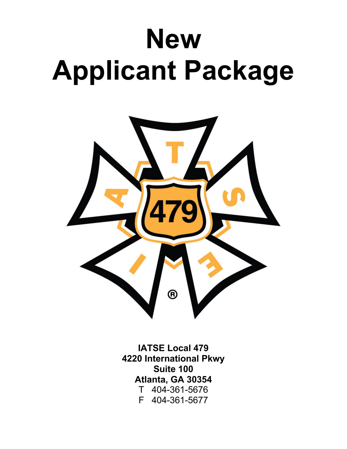# **New Applicant Package**



**IATSE Local 479 4220 International Pkwy Suite 100 Atlanta, GA 30354** T 404-361-5676 F 404-361-5677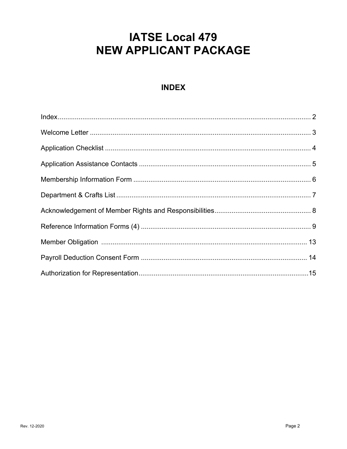## **IATSE Local 479** NEW APPLICANT PACKAGE

## **INDEX**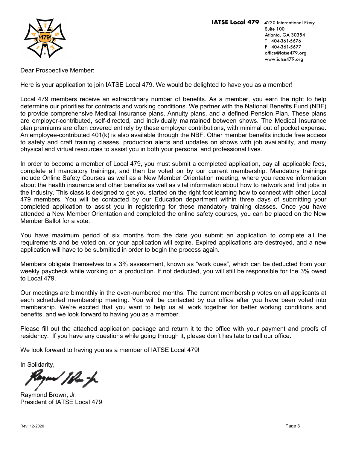

Dear Prospective Member:

Here is your application to join IATSE Local 479. We would be delighted to have you as a member!

Local 479 members receive an extraordinary number of benefits. As a member, you earn the right to help determine our priorities for contracts and working conditions. We partner with the National Benefits Fund (NBF) to provide comprehensive Medical Insurance plans, Annuity plans, and a defined Pension Plan. These plans are employer-contributed, self-directed, and individually maintained between shows. The Medical Insurance plan premiums are often covered entirely by these employer contributions, with minimal out of pocket expense. An employee-contributed 401(k) is also available through the NBF. Other member benefits include free access to safety and craft training classes, production alerts and updates on shows with job availability, and many physical and virtual resources to assist you in both your personal and professional lives.

In order to become a member of Local 479, you must submit a completed application, pay all applicable fees, complete all mandatory trainings, and then be voted on by our current membership. Mandatory trainings include Online Safety Courses as well as a New Member Orientation meeting, where you receive information about the health insurance and other benefits as well as vital information about how to network and find jobs in the industry. This class is designed to get you started on the right foot learning how to connect with other Local 479 members. You will be contacted by our Education department within three days of submitting your completed application to assist you in registering for these mandatory training classes. Once you have attended a New Member Orientation and completed the online safety courses, you can be placed on the New Member Ballot for a vote.

You have maximum period of six months from the date you submit an application to complete all the requirements and be voted on, or your application will expire. Expired applications are destroyed, and a new application will have to be submitted in order to begin the process again.

Members obligate themselves to a 3% assessment, known as "work dues", which can be deducted from your weekly paycheck while working on a production. If not deducted, you will still be responsible for the 3% owed to Local 479.

Our meetings are bimonthly in the even-numbered months. The current membership votes on all applicants at each scheduled membership meeting. You will be contacted by our office after you have been voted into membership. We're excited that you want to help us all work together for better working conditions and benefits, and we look forward to having you as a member.

Please fill out the attached application package and return it to the office with your payment and proofs of residency. If you have any questions while going through it, please don't hesitate to call our office.

We look forward to having you as a member of IATSE Local 479!

In Solidarity,

'Mu h

Raymond Brown, Jr. President of IATSE Local 479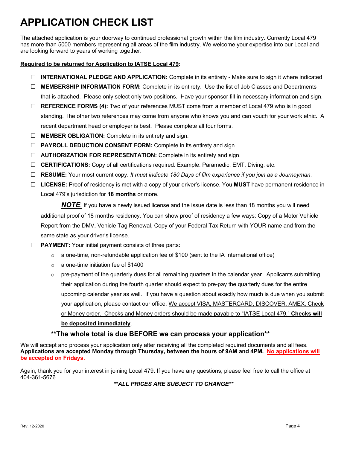## **APPLICATION CHECK LIST**

The attached application is your doorway to continued professional growth within the film industry. Currently Local 479 has more than 5000 members representing all areas of the film industry. We welcome your expertise into our Local and are looking forward to years of working together.

#### **Required to be returned for Application to IATSE Local 479:**

- $\Box$  **INTERNATIONAL PLEDGE AND APPLICATION:** Complete in its entirety Make sure to sign it where indicated
- □ **MEMBERSHIP INFORMATION FORM:** Complete in its entirety. Use the list of Job Classes and Departments that is attached. Please only select only two positions. Have your sponsor fill in necessary information and sign.
- □ **REFERENCE FORMS (4):** Two of your references MUST come from a member of Local 479 who is in good standing. The other two references may come from anyone who knows you and can vouch for your work ethic. A recent department head or employer is best. Please complete all four forms.
- □ **MEMBER OBLIGATION:** Complete in its entirety and sign.
- □ **PAYROLL DEDUCTION CONSENT FORM:** Complete in its entirety and sign.
- □ **AUTHORIZATION FOR REPRESENTATION:** Complete in its entirety and sign.
- □ **CERTIFICATIONS:** Copy of all certifications required. Example: Paramedic, EMT, Diving, etc.
- £ **RESUME:** Your most current copy. *It must indicate 180 Days of film experience if you join as a Journeyman*.
- £ **LICENSE:** Proof of residency is met with a copy of your driver's license. You **MUST** have permanent residence in Local 479's jurisdiction for **18 months** or more.

*NOTE*: If you have a newly issued license and the issue date is less than 18 months you will need additional proof of 18 months residency. You can show proof of residency a few ways: Copy of a Motor Vehicle Report from the DMV, Vehicle Tag Renewal, Copy of your Federal Tax Return with YOUR name and from the same state as your driver's license.

- **EXTERT:** Your initial payment consists of three parts:
	- $\circ$  a one-time, non-refundable application fee of \$100 (sent to the IA International office)
	- o a one-time initiation fee of \$1400
	- $\circ$  pre-payment of the quarterly dues for all remaining quarters in the calendar year. Applicants submitting their application during the fourth quarter should expect to pre-pay the quarterly dues for the entire upcoming calendar year as well. If you have a question about exactly how much is due when you submit your application, please contact our office. We accept VISA, MASTERCARD, DISCOVER, AMEX, Check or Money order. Checks and Money orders should be made payable to "IATSE Local 479." **Checks will be deposited immediately**.

#### **\*\*The whole total is due BEFORE we can process your application\*\***

We will accept and process your application only after receiving all the completed required documents and all fees. **Applications are accepted Monday through Thursday, between the hours of 9AM and 4PM. No applications will be accepted on Fridays.**

Again, thank you for your interest in joining Local 479. If you have any questions, please feel free to call the office at 404-361-5676.

*\*\*ALL PRICES ARE SUBJECT TO CHANGE\*\**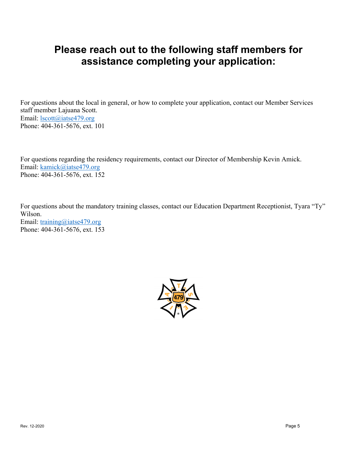## **Please reach out to the following staff members for assistance completing your application:**

For questions about the local in general, or how to complete your application, contact our Member Services staff member Lajuana Scott. Email: <u>lscott@iatse479.org</u> Phone: 404-361-5676, ext. 101

For questions regarding the residency requirements, contact our Director of Membership Kevin Amick. Email: kamick@iatse479.org Phone: 404-361-5676, ext. 152

For questions about the mandatory training classes, contact our Education Department Receptionist, Tyara "Ty" Wilson. Email: training@iatse479.org Phone: 404-361-5676, ext. 153

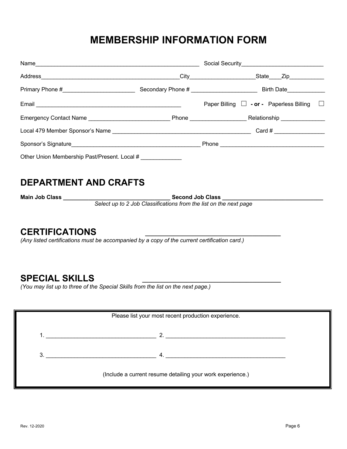## **MEMBERSHIP INFORMATION FORM**

| Name                                         | Social Security<br><u>Social Security</u>                      |         |
|----------------------------------------------|----------------------------------------------------------------|---------|
|                                              | City<br>_State_____Zip__________                               |         |
|                                              | Secondary Phone # _______________________<br><b>Birth Date</b> |         |
|                                              | Paper Billing $\Box$ - or - Paperless Billing                  | $\perp$ |
|                                              | Relationship ___________                                       |         |
|                                              |                                                                |         |
|                                              |                                                                |         |
| Other Union Membership Past/Present. Local # |                                                                |         |

## **DEPARTMENT AND CRAFTS**

**Main Job Class \_\_\_\_\_\_\_\_\_\_\_\_\_\_\_\_\_\_\_\_\_\_\_\_\_\_\_\_\_\_\_\_\_\_ Second Job Class \_\_\_\_\_\_\_\_\_\_\_\_\_\_\_\_\_\_\_\_\_\_\_\_\_\_\_\_\_\_\_\_**

*Select up to 2 Job Classifications from the list on the next page*

## **CERTIFICATIONS \_\_\_\_\_\_\_\_\_\_\_\_\_\_\_\_\_\_\_\_\_\_\_\_\_\_\_\_\_\_\_\_\_\_\_\_\_\_\_\_\_\_\_**

*(Any listed certifications must be accompanied by a copy of the current certification card.)*

## **SPECIAL SKILLS \_\_\_\_\_\_\_\_\_\_\_\_\_\_\_\_\_\_\_\_\_\_\_\_\_\_\_\_\_\_\_\_\_\_\_\_\_\_\_\_\_\_\_\_**

*(You may list up to three of the Special Skills from the list on the next page.)*

| Please list your most recent production experience.        |                  |  |  |  |  |
|------------------------------------------------------------|------------------|--|--|--|--|
|                                                            | 2.               |  |  |  |  |
| 3.                                                         | $\overline{4}$ . |  |  |  |  |
| (Include a current resume detailing your work experience.) |                  |  |  |  |  |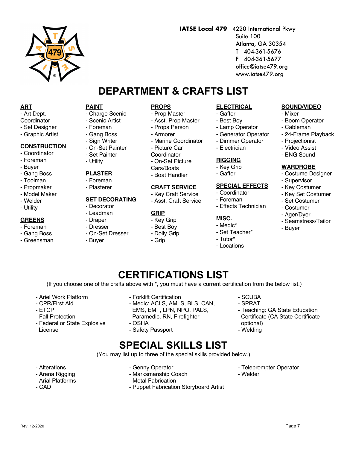#### - CPR/First Aid - ETCP

- Fall Protection

- Ariel Work Platform

- Federal or State Explosive License

- Charge Scenic
- Scenic Artist
- Foreman

**PAINT**

- Gang Boss
- Sign Writer - On-Set Painter
- Set Painter
- Utility

#### **PLASTER**

- Foreman
- Plasterer

#### **SET DECORATING**

- Decorator
- Leadman
- Draper
- Dresser
- On-Set Dresser
- Buyer

#### **PROPS**

- Prop Master
- Asst. Prop Master

**DEPARTMENT & CRAFTS LIST**

- Props Person
- Armorer
- Marine Coordinator
- Picture Car
- Coordinator
- On-Set Picture
- Cars/Boats
- Boat Handler

#### **CRAFT SERVICE**

- Key Craft Service
- Asst. Craft Service

#### **GRIP**

- Key Grip
- Best Boy
- Dolly Grip
- Grip

#### **ELECTRICAL**

**IATSE Local 479** 4220 International Pkwy

Suite 100

 Atlanta, GA 30354 T 404-361-5676 F 404-361-5677 office@iatse479.org www.iatse479.org

- Gaffer
- Best Boy
- Lamp Operator
- Generator Operator
- Dimmer Operator
- Electrician

#### **RIGGING**

- Key Grip
- Gaffer

#### **SPECIAL EFFECTS**

- Coordinator
- Foreman
- Effects Technician

#### **MISC.**

- Medic\*
- Set Teacher\*
- Tutor\*
- Locations

#### **SOUND/VIDEO**

- Mixer
- Boom Operator
- Cableman
- 24-Frame Playback
- Projectionist
- Video Assist
- ENG Sound

#### **WARDROBE**

- Costume Designer
- Supervisor
- Key Costumer
- Key Set Costumer
- Set Costumer
- Costumer
- Ager/Dyer
- Seamstress/Tailor
- Buyer

(If you choose one of the crafts above with \*, you must have a current certification from the below list.)

**CERTIFICATIONS LIST**

- Forklift Certification
- Medic: ACLS, AMLS, BLS, CAN, EMS, EMT, LPN, NPQ, PALS,
- Paramedic, RN, Firefighter
- OSHA
- Safety Passport

- Genny Operator

#### - SCUBA

- SPRAT
- Teaching: GA State Education Certificate (CA State Certificate optional) - Welding

## **SPECIAL SKILLS LIST**

(You may list up to three of the special skills provided below.)

- Alterations
- Arena Rigging
- Arial Platforms
- CAD
- Marksmanship Coach - Metal Fabrication
	- Puppet Fabrication Storyboard Artist
- Teleprompter Operator - Welder
	-



**ART** - Art Dept. **Coordinator** - Set Designer - Graphic Artist

**CONSTRUCTION** - Coordinator - Foreman - Buyer - Gang Boss - Toolman - Propmaker - Model Maker - Welder - Utility

**GREENS** - Foreman - Gang Boss - Greensman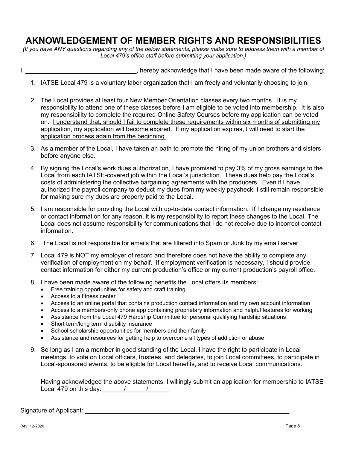## **AKNOWLEDGEMENT OF MEMBER RIGHTS AND RESPONSIBILITIES**

*(If you have ANY questions regarding any of the below statements, please make sure to address them with a member of Local 479's office staff before submitting your application.)*

#### I, 1. All the set of the following: hereby acknowledge that I have been made aware of the following:

- 1. IATSE Local 479 is a voluntary labor organization that I am freely and voluntarily choosing to join.
- 2. The Local provides at least four New Member Orientation classes every two months. It is my responsibility to attend one of these classes before I am eligible to be voted into membership. It is also my responsibility to complete the required Online Safety Courses before my application can be voted on. I understand that, should I fail to complete these requirements within six months of submitting my application, my application will become expired. If my application expires, I will need to start the application process again from the beginning.
- 3. As a member of the Local, I have taken an oath to promote the hiring of my union brothers and sisters before anyone else.
- 4. By signing the Local's work dues authorization, I have promised to pay 3% of my gross earnings to the Local from each IATSE-covered job within the Local's jurisdiction. These dues help pay the Local's costs of administering the collective bargaining agreements with the producers. Even if I have authorized the payroll company to deduct my dues from my weekly paycheck, I still remain responsible for making sure my dues are properly paid to the Local.
- 5. I am responsible for providing the Local with up-to-date contact information. If I change my residence or contact information for any reason, it is my responsibility to report these changes to the Local. The Local does not assume responsibility for communications that I do not receive due to incorrect contact information.
- 6. The Local is not responsible for emails that are filtered into Spam or Junk by my email server.
- 7. Local 479 is NOT my employer of record and therefore does not have the ability to complete any verification of employment on my behalf. If employment verification is necessary, I should provide contact information for either my current production's office or my current production's payroll office.
- 8. I have been made aware of the following benefits the Local offers its members:
	- Free training opportunities for safety and craft training
	- Access to a fitness center
	- Access to an online portal that contains production contact information and my own account information
	- Access to a members-only phone app containing proprietary information and helpful features for working
	- Assistance from the Local 479 Hardship Committee for personal qualifying hardship situations
	- Short term/long term disability insurance
	- School scholarship opportunities for members and their family
	- Assistance and resources for getting help to overcome all types of addiction or abuse
- 9. So long as I am a member in good standing of the Local, I have the right to participate in Local meetings, to vote on Local officers, trustees, and delegates, to join Local committees, to participate in Local-sponsored events, to be eligible for Local benefits, and to receive Local communications.

Having acknowledged the above statements, I willingly submit an application for membership to IATSE Local 479 on this day:  $\frac{1}{2}$   $\frac{1}{2}$ 

Signature of Applicant:  $\Box$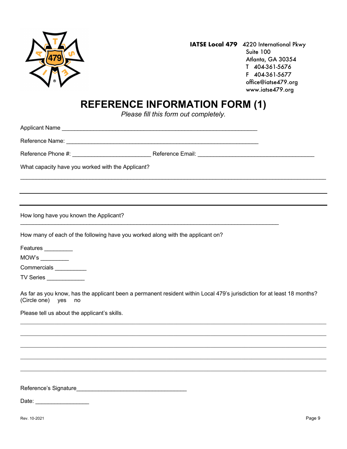

## **REFERENCE INFORMATION FORM (1)**

*Please fill this form out completely.*

Applicant Name \_\_\_\_\_\_\_\_\_\_\_\_\_\_\_\_\_\_\_\_\_\_\_\_\_\_\_\_\_\_\_\_\_\_\_\_\_\_\_\_\_\_\_\_\_\_\_\_\_\_\_\_\_\_\_\_\_\_\_\_\_\_

Reference Name: \_\_\_\_\_\_\_\_\_\_\_\_\_\_\_\_\_\_\_\_\_\_\_\_\_\_\_\_\_\_\_\_\_\_\_\_\_\_\_\_\_\_\_\_\_\_\_\_\_\_\_\_\_\_\_\_\_\_\_\_\_

Reference Phone #: \_\_\_\_\_\_\_\_\_\_\_\_\_\_\_\_\_\_\_\_\_\_\_\_\_ Reference Email: \_\_\_\_\_\_\_\_\_\_\_\_\_\_\_\_\_\_\_\_\_\_\_\_\_\_\_\_\_\_\_\_\_\_\_\_\_

\_\_\_\_\_\_\_\_\_\_\_\_\_\_\_\_\_\_\_\_\_\_\_\_\_\_\_\_\_\_\_\_\_\_\_\_\_\_\_\_\_\_\_\_\_\_\_\_\_\_\_\_\_\_\_\_\_\_\_\_\_\_\_\_\_\_\_\_\_\_\_\_\_\_\_\_\_\_\_\_\_\_\_\_\_\_\_\_\_\_\_\_\_\_\_\_\_

What capacity have you worked with the Applicant?

How long have you known the Applicant?

How many of each of the following have you worked along with the applicant on?

 $\mathcal{L}_\text{max}$  , and the contribution of the contribution of the contribution of the contribution of the contribution of the contribution of the contribution of the contribution of the contribution of the contribution of t

Features \_\_\_\_\_\_\_\_\_\_

MOW's \_\_\_\_\_\_\_\_\_

Commercials \_\_\_\_\_\_\_\_\_\_\_

TV Series \_\_\_\_\_\_\_\_\_\_\_\_

As far as you know, has the applicant been a permanent resident within Local 479's jurisdiction for at least 18 months? (Circle one) yes no

 $\mathcal{L}_\mathcal{L} = \mathcal{L}_\mathcal{L} = \mathcal{L}_\mathcal{L} = \mathcal{L}_\mathcal{L} = \mathcal{L}_\mathcal{L} = \mathcal{L}_\mathcal{L} = \mathcal{L}_\mathcal{L} = \mathcal{L}_\mathcal{L} = \mathcal{L}_\mathcal{L} = \mathcal{L}_\mathcal{L} = \mathcal{L}_\mathcal{L} = \mathcal{L}_\mathcal{L} = \mathcal{L}_\mathcal{L} = \mathcal{L}_\mathcal{L} = \mathcal{L}_\mathcal{L} = \mathcal{L}_\mathcal{L} = \mathcal{L}_\mathcal{L}$ 

 $\mathcal{L}_\mathcal{L} = \mathcal{L}_\mathcal{L} = \mathcal{L}_\mathcal{L} = \mathcal{L}_\mathcal{L} = \mathcal{L}_\mathcal{L} = \mathcal{L}_\mathcal{L} = \mathcal{L}_\mathcal{L} = \mathcal{L}_\mathcal{L} = \mathcal{L}_\mathcal{L} = \mathcal{L}_\mathcal{L} = \mathcal{L}_\mathcal{L} = \mathcal{L}_\mathcal{L} = \mathcal{L}_\mathcal{L} = \mathcal{L}_\mathcal{L} = \mathcal{L}_\mathcal{L} = \mathcal{L}_\mathcal{L} = \mathcal{L}_\mathcal{L}$ 

Please tell us about the applicant's skills.

Reference's Signature

Date: \_\_\_\_\_\_\_\_\_\_\_\_\_\_\_\_\_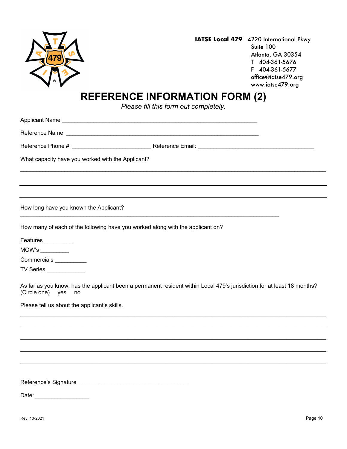

## **REFERENCE INFORMATION FORM (2)**

*Please fill this form out completely.*

Applicant Name \_\_\_\_\_\_\_\_\_\_\_\_\_\_\_\_\_\_\_\_\_\_\_\_\_\_\_\_\_\_\_\_\_\_\_\_\_\_\_\_\_\_\_\_\_\_\_\_\_\_\_\_\_\_\_\_\_\_\_\_\_\_

Reference Name: \_\_\_\_\_\_\_\_\_\_\_\_\_\_\_\_\_\_\_\_\_\_\_\_\_\_\_\_\_\_\_\_\_\_\_\_\_\_\_\_\_\_\_\_\_\_\_\_\_\_\_\_\_\_\_\_\_\_\_\_\_

Reference Phone #: \_\_\_\_\_\_\_\_\_\_\_\_\_\_\_\_\_\_\_\_\_\_\_\_\_ Reference Email: \_\_\_\_\_\_\_\_\_\_\_\_\_\_\_\_\_\_\_\_\_\_\_\_\_\_\_\_\_\_\_\_\_\_\_\_\_

 $\mathcal{L}_\mathcal{L} = \mathcal{L}_\mathcal{L} = \mathcal{L}_\mathcal{L} = \mathcal{L}_\mathcal{L} = \mathcal{L}_\mathcal{L} = \mathcal{L}_\mathcal{L} = \mathcal{L}_\mathcal{L} = \mathcal{L}_\mathcal{L} = \mathcal{L}_\mathcal{L} = \mathcal{L}_\mathcal{L} = \mathcal{L}_\mathcal{L} = \mathcal{L}_\mathcal{L} = \mathcal{L}_\mathcal{L} = \mathcal{L}_\mathcal{L} = \mathcal{L}_\mathcal{L} = \mathcal{L}_\mathcal{L} = \mathcal{L}_\mathcal{L}$ 

What capacity have you worked with the Applicant?

How long have you known the Applicant?

How many of each of the following have you worked along with the applicant on?

\_\_\_\_\_\_\_\_\_\_\_\_\_\_\_\_\_\_\_\_\_\_\_\_\_\_\_\_\_\_\_\_\_\_\_\_\_\_\_\_\_\_\_\_\_\_\_\_\_\_\_\_\_\_\_\_\_\_\_\_\_\_\_\_\_\_\_\_\_\_\_\_\_\_\_\_\_\_\_\_\_\_

Features \_\_\_\_\_\_\_\_\_

MOW's \_\_\_\_\_\_\_\_\_

Commercials \_\_\_\_\_\_\_\_\_\_

TV Series

As far as you know, has the applicant been a permanent resident within Local 479's jurisdiction for at least 18 months? (Circle one) yes no

Please tell us about the applicant's skills.

Reference's Signature\_\_\_\_\_\_\_\_\_\_\_\_\_\_\_\_\_\_\_\_\_\_\_\_\_\_\_\_\_\_\_\_\_\_\_

Date: \_\_\_\_\_\_\_\_\_\_\_\_\_\_\_\_\_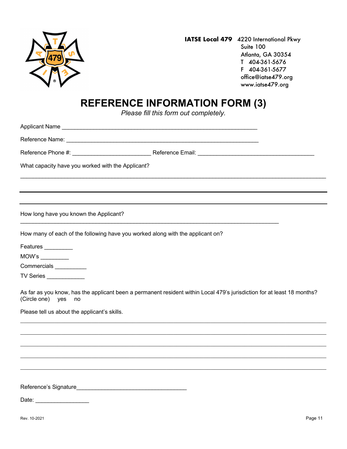

## **REFERENCE INFORMATION FORM (3)**

*Please fill this form out completely.*

Applicant Name \_\_\_\_\_\_\_\_\_\_\_\_\_\_\_\_\_\_\_\_\_\_\_\_\_\_\_\_\_\_\_\_\_\_\_\_\_\_\_\_\_\_\_\_\_\_\_\_\_\_\_\_\_\_\_\_\_\_\_\_\_\_

Reference Name: \_\_\_\_\_\_\_\_\_\_\_\_\_\_\_\_\_\_\_\_\_\_\_\_\_\_\_\_\_\_\_\_\_\_\_\_\_\_\_\_\_\_\_\_\_\_\_\_\_\_\_\_\_\_\_\_\_\_\_\_\_

Reference Phone #: \_\_\_\_\_\_\_\_\_\_\_\_\_\_\_\_\_\_\_\_\_\_\_\_\_ Reference Email: \_\_\_\_\_\_\_\_\_\_\_\_\_\_\_\_\_\_\_\_\_\_\_\_\_\_\_\_\_\_\_\_\_\_\_\_\_

 $\mathcal{L}_\mathcal{L} = \mathcal{L}_\mathcal{L} = \mathcal{L}_\mathcal{L} = \mathcal{L}_\mathcal{L} = \mathcal{L}_\mathcal{L} = \mathcal{L}_\mathcal{L} = \mathcal{L}_\mathcal{L} = \mathcal{L}_\mathcal{L} = \mathcal{L}_\mathcal{L} = \mathcal{L}_\mathcal{L} = \mathcal{L}_\mathcal{L} = \mathcal{L}_\mathcal{L} = \mathcal{L}_\mathcal{L} = \mathcal{L}_\mathcal{L} = \mathcal{L}_\mathcal{L} = \mathcal{L}_\mathcal{L} = \mathcal{L}_\mathcal{L}$ 

What capacity have you worked with the Applicant?

How long have you known the Applicant?

How many of each of the following have you worked along with the applicant on?

\_\_\_\_\_\_\_\_\_\_\_\_\_\_\_\_\_\_\_\_\_\_\_\_\_\_\_\_\_\_\_\_\_\_\_\_\_\_\_\_\_\_\_\_\_\_\_\_\_\_\_\_\_\_\_\_\_\_\_\_\_\_\_\_\_\_\_\_\_\_\_\_\_\_\_\_\_\_\_\_\_\_

Features \_\_\_\_\_\_\_\_\_

MOW's \_\_\_\_\_\_\_\_\_

Commercials \_\_\_\_\_\_\_\_\_\_\_

TV Series \_\_\_\_\_\_\_\_\_\_\_\_

As far as you know, has the applicant been a permanent resident within Local 479's jurisdiction for at least 18 months? (Circle one) yes no

Please tell us about the applicant's skills.

Reference's Signature

Date: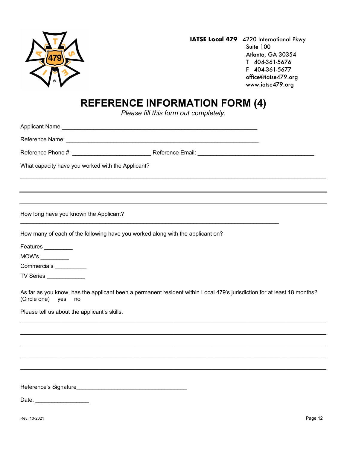

## **REFERENCE INFORMATION FORM (4)**

*Please fill this form out completely.*

Applicant Name \_\_\_\_\_\_\_\_\_\_\_\_\_\_\_\_\_\_\_\_\_\_\_\_\_\_\_\_\_\_\_\_\_\_\_\_\_\_\_\_\_\_\_\_\_\_\_\_\_\_\_\_\_\_\_\_\_\_\_\_\_\_

Reference Name: \_\_\_\_\_\_\_\_\_\_\_\_\_\_\_\_\_\_\_\_\_\_\_\_\_\_\_\_\_\_\_\_\_\_\_\_\_\_\_\_\_\_\_\_\_\_\_\_\_\_\_\_\_\_\_\_\_\_\_\_\_

Reference Phone #: \_\_\_\_\_\_\_\_\_\_\_\_\_\_\_\_\_\_\_\_\_\_\_\_\_ Reference Email: \_\_\_\_\_\_\_\_\_\_\_\_\_\_\_\_\_\_\_\_\_\_\_\_\_\_\_\_\_\_\_\_\_\_\_\_\_

 $\mathcal{L}_\mathcal{L} = \mathcal{L}_\mathcal{L} = \mathcal{L}_\mathcal{L} = \mathcal{L}_\mathcal{L} = \mathcal{L}_\mathcal{L} = \mathcal{L}_\mathcal{L} = \mathcal{L}_\mathcal{L} = \mathcal{L}_\mathcal{L} = \mathcal{L}_\mathcal{L} = \mathcal{L}_\mathcal{L} = \mathcal{L}_\mathcal{L} = \mathcal{L}_\mathcal{L} = \mathcal{L}_\mathcal{L} = \mathcal{L}_\mathcal{L} = \mathcal{L}_\mathcal{L} = \mathcal{L}_\mathcal{L} = \mathcal{L}_\mathcal{L}$ 

What capacity have you worked with the Applicant?

How long have you known the Applicant?

How many of each of the following have you worked along with the applicant on?

\_\_\_\_\_\_\_\_\_\_\_\_\_\_\_\_\_\_\_\_\_\_\_\_\_\_\_\_\_\_\_\_\_\_\_\_\_\_\_\_\_\_\_\_\_\_\_\_\_\_\_\_\_\_\_\_\_\_\_\_\_\_\_\_\_\_\_\_\_\_\_\_\_\_\_\_\_\_\_\_\_\_

Features \_\_\_\_\_\_\_\_\_

MOW's \_\_\_\_\_\_\_\_\_

Commercials \_\_\_\_\_\_\_\_\_\_\_

TV Series \_\_\_\_\_\_\_\_\_\_\_\_

As far as you know, has the applicant been a permanent resident within Local 479's jurisdiction for at least 18 months? (Circle one) yes no

Please tell us about the applicant's skills.

Reference's Signature

Date: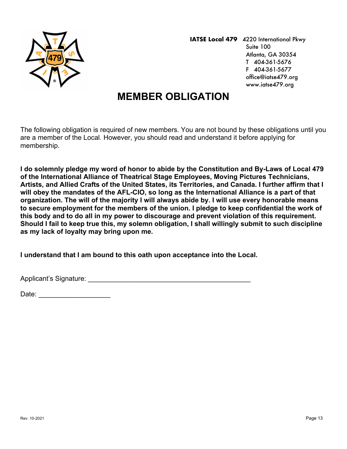

## **MEMBER OBLIGATION**

The following obligation is required of new members. You are not bound by these obligations until you are a member of the Local. However, you should read and understand it before applying for membership.

**I do solemnly pledge my word of honor to abide by the Constitution and By-Laws of Local 479 of the International Alliance of Theatrical Stage Employees, Moving Pictures Technicians, Artists, and Allied Crafts of the United States, its Territories, and Canada. I further affirm that I will obey the mandates of the AFL-CIO, so long as the International Alliance is a part of that organization. The will of the majority I will always abide by. I will use every honorable means to secure employment for the members of the union. I pledge to keep confidential the work of this body and to do all in my power to discourage and prevent violation of this requirement. Should I fail to keep true this, my solemn obligation, I shall willingly submit to such discipline as my lack of loyalty may bring upon me.** 

**I understand that I am bound to this oath upon acceptance into the Local.** 

Applicant's Signature: **Alternative** Applicant's Signature:

Date: \_\_\_\_\_\_\_\_\_\_\_\_\_\_\_\_\_\_\_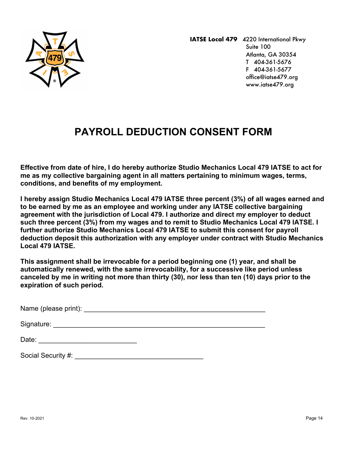

## **PAYROLL DEDUCTION CONSENT FORM**

**Effective from date of hire, I do hereby authorize Studio Mechanics Local 479 IATSE to act for me as my collective bargaining agent in all matters pertaining to minimum wages, terms, conditions, and benefits of my employment.**

**I hereby assign Studio Mechanics Local 479 IATSE three percent (3%) of all wages earned and to be earned by me as an employee and working under any IATSE collective bargaining agreement with the jurisdiction of Local 479. I authorize and direct my employer to deduct such three percent (3%) from my wages and to remit to Studio Mechanics Local 479 IATSE. I further authorize Studio Mechanics Local 479 IATSE to submit this consent for payroll deduction deposit this authorization with any employer under contract with Studio Mechanics Local 479 IATSE.**

**This assignment shall be irrevocable for a period beginning one (1) year, and shall be automatically renewed, with the same irrevocability, for a successive like period unless canceled by me in writing not more than thirty (30), nor less than ten (10) days prior to the expiration of such period.** 

Name (please print):  $\blacksquare$ 

Signature: \_\_\_\_\_\_\_\_\_\_\_\_\_\_\_\_\_\_\_\_\_\_\_\_\_\_\_\_\_\_\_\_\_\_\_\_\_\_\_\_\_\_\_\_\_\_\_\_\_\_\_\_\_\_\_\_

Social Security #:  $\blacksquare$